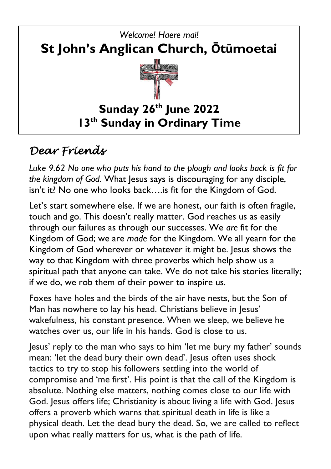

## *Dear Friends*

*Luke 9.62 No one who puts his hand to the plough and looks back is fit for the kingdom of God.* What Jesus says is discouraging for any disciple, isn't it? No one who looks back….is fit for the Kingdom of God.

Let's start somewhere else. If we are honest, our faith is often fragile, touch and go. This doesn't really matter. God reaches us as easily through our failures as through our successes. We *are* fit for the Kingdom of God; we are *made* for the Kingdom. We all yearn for the Kingdom of God wherever or whatever it might be. Jesus shows the way to that Kingdom with three proverbs which help show us a spiritual path that anyone can take. We do not take his stories literally; if we do, we rob them of their power to inspire us.

Foxes have holes and the birds of the air have nests, but the Son of Man has nowhere to lay his head. Christians believe in Jesus' wakefulness, his constant presence. When we sleep, we believe he watches over us, our life in his hands. God is close to us.

Jesus' reply to the man who says to him 'let me bury my father' sounds mean: 'let the dead bury their own dead'. Jesus often uses shock tactics to try to stop his followers settling into the world of compromise and 'me first'. His point is that the call of the Kingdom is absolute. Nothing else matters, nothing comes close to our life with God. Jesus offers life; Christianity is about living a life with God. Jesus offers a proverb which warns that spiritual death in life is like a physical death. Let the dead bury the dead. So, we are called to reflect upon what really matters for us, what is the path of life.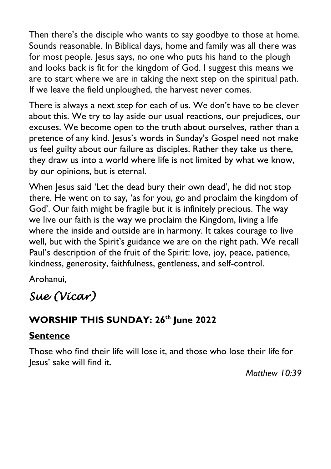Then there's the disciple who wants to say goodbye to those at home. Sounds reasonable. In Biblical days, home and family was all there was for most people. Jesus says, no one who puts his hand to the plough and looks back is fit for the kingdom of God. I suggest this means we are to start where we are in taking the next step on the spiritual path. If we leave the field unploughed, the harvest never comes.

There is always a next step for each of us. We don't have to be clever about this. We try to lay aside our usual reactions, our prejudices, our excuses. We become open to the truth about ourselves, rather than a pretence of any kind. Jesus's words in Sunday's Gospel need not make us feel guilty about our failure as disciples. Rather they take us there, they draw us into a world where life is not limited by what we know, by our opinions, but is eternal.

When Jesus said 'Let the dead bury their own dead', he did not stop there. He went on to say, 'as for you, go and proclaim the kingdom of God'. Our faith might be fragile but it is infinitely precious. The way we live our faith is the way we proclaim the Kingdom, living a life where the inside and outside are in harmony. It takes courage to live well, but with the Spirit's guidance we are on the right path. We recall Paul's description of the fruit of the Spirit: love, joy, peace, patience, kindness, generosity, faithfulness, gentleness, and self-control.

Arohanui,

## *Sue (Vicar)*

### **WORSHIP THIS SUNDAY: 26th June 2022**

#### **Sentence**

Those who find their life will lose it, and those who lose their life for Jesus' sake will find it.

*Matthew 10:39*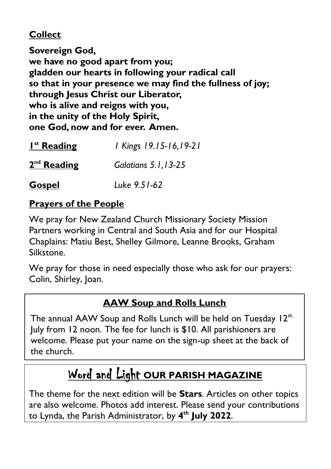#### **Collect**

**Sovereign God, we have no good apart from you; gladden our hearts in following your radical call so that in your presence we may find the fullness of joy; through Jesus Christ our Liberator, who is alive and reigns with you, in the unity of the Holy Spirit, one God, now and for ever. Amen.**

| I <sup>st</sup> Reading | I Kings 19.15-16,19-21 |
|-------------------------|------------------------|
| $2nd$ Reading           | Galatians 5.1, 13-25   |
| <b>Gospel</b>           | Luke 9.51-62           |

#### **Prayers of the People**

We pray for New Zealand Church Missionary Society Mission Partners working in Central and South Asia and for our Hospital Chaplains: Matiu Best, Shelley Gilmore, Leanne Brooks, Graham Silkstone.

We pray for those in need especially those who ask for our prayers: Colin, Shirley, Joan.

#### **AAW Soup and Rolls Lunch**

The annual AAW Soup and Rolls Lunch will be held on Tuesday  $12<sup>th</sup>$ July from 12 noon. The fee for lunch is \$10. All parishioners are welcome. Please put your name on the sign-up sheet at the back of the church.

# Word and Light **OUR PARISH MAGAZINE**

The theme for the next edition will be **Stars***.* Articles on other topics are also welcome. Photos add interest. Please send your contributions to Lynda, the Parish Administrator, by **4 th July 2022**.